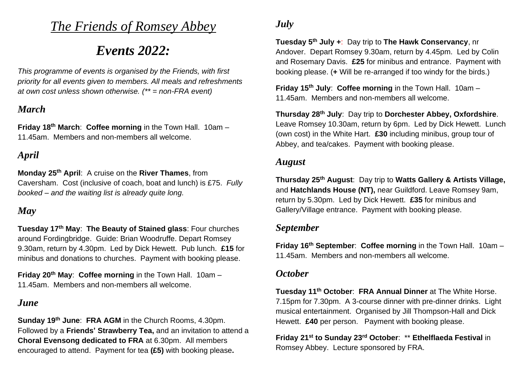# *The Friends of Romsey Abbey*

# *Events 2022:*

*This programme of events is organised by the Friends, with first priority for all events given to members. All meals and refreshments at own cost unless shown otherwise. (\*\* = non-FRA event)*

## *March*

**Friday 18th March**: **Coffee morning** in the Town Hall. 10am – 11.45am. Members and non-members all welcome.

# *April*

**Monday 25 th April**: A cruise on the **River Thames**, from Caversham. Cost (inclusive of coach, boat and lunch) is £75. *Fully booked – and the waiting list is already quite long.*

# *May*

**Tuesday 17th May**: **The Beauty of Stained glass**: Four churches around Fordingbridge. Guide: Brian Woodruffe. Depart Romsey 9.30am, return by 4.30pm. Led by Dick Hewett. Pub lunch. **£15** for minibus and donations to churches. Payment with booking please.

**Friday 20th May**: **Coffee morning** in the Town Hall. 10am – 11.45am. Members and non-members all welcome.

### *June*

**Sunday 19 th June**: **FRA AGM** in the Church Rooms, 4.30pm. Followed by a **Friends' Strawberry Tea,** and an invitation to attend a **Choral Evensong dedicated to FRA** at 6.30pm. All members encouraged to attend. Payment for tea **(£5)** with booking please**.**

# *July*

**Tuesday 5 th July +**: Day trip to **The Hawk Conservancy**, nr Andover. Depart Romsey 9.30am, return by 4.45pm. Led by Colin and Rosemary Davis. **£25** for minibus and entrance. Payment with booking please. (**+** Will be re-arranged if too windy for the birds.)

**Friday 15 th July**: **Coffee morning** in the Town Hall. 10am – 11.45am. Members and non-members all welcome.

**Thursday 28th July**: Day trip to **Dorchester Abbey, Oxfordshire**. Leave Romsey 10.30am, return by 6pm. Led by Dick Hewett. Lunch (own cost) in the White Hart. **£30** including minibus, group tour of Abbey, and tea/cakes. Payment with booking please.

#### *August*

**Thursday 25 th August**: Day trip to **Watts Gallery & Artists Village,**  and **Hatchlands House (NT),** near Guildford. Leave Romsey 9am, return by 5.30pm. Led by Dick Hewett. **£35** for minibus and Gallery/Village entrance. Payment with booking please.

#### *September*

**Friday 16 th September**: **Coffee morning** in the Town Hall. 10am – 11.45am. Members and non-members all welcome.

## *October*

**Tuesday 11th October**: **FRA Annual Dinner** at The White Horse. 7.15pm for 7.30pm. A 3-course dinner with pre-dinner drinks. Light musical entertainment. Organised by Jill Thompson-Hall and Dick Hewett. **£40** per person. Payment with booking please.

**Friday 21 st to Sunday 23rd October**: \*\* **Ethelflaeda Festival** in Romsey Abbey. Lecture sponsored by FRA.